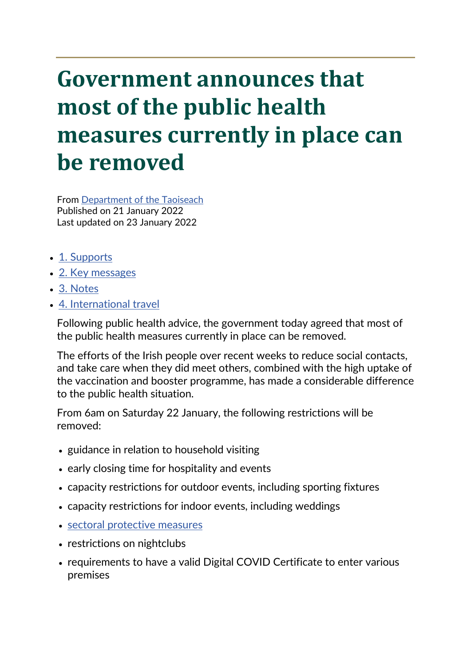# **Government announces that most of the public health measures currently in place can be removed**

From [Department of the Taoiseach](https://www.gov.ie/en/organisation/department-of-the-taoiseach/) Published on 21 January 2022 Last updated on 23 January 2022

- [1. Supports](https://www.gov.ie/en/press-release/0fc0d-government-announces-that-most-of-the-public-health-measures-currently-in-place-can-be-removed/#supports)
- [2. Key messages](https://www.gov.ie/en/press-release/0fc0d-government-announces-that-most-of-the-public-health-measures-currently-in-place-can-be-removed/#key-messages)
- [3. Notes](https://www.gov.ie/en/press-release/0fc0d-government-announces-that-most-of-the-public-health-measures-currently-in-place-can-be-removed/#notes)
- [4. International travel](https://www.gov.ie/en/press-release/0fc0d-government-announces-that-most-of-the-public-health-measures-currently-in-place-can-be-removed/#international-travel)

Following public health advice, the government today agreed that most of the public health measures currently in place can be removed.

The efforts of the Irish people over recent weeks to reduce social contacts, and take care when they did meet others, combined with the high uptake of the vaccination and booster programme, has made a considerable difference to the public health situation.

From 6am on Saturday 22 January, the following restrictions will be removed:

- guidance in relation to household visiting
- early closing time for hospitality and events
- capacity restrictions for outdoor events, including sporting fixtures
- capacity restrictions for indoor events, including weddings
- [sectoral protective measures](https://www.gov.ie/en/press-release/0fc0d-government-announces-that-most-of-the-public-health-measures-currently-in-place-can-be-removed/#notes)
- restrictions on nightclubs
- requirements to have a valid Digital COVID Certificate to enter various premises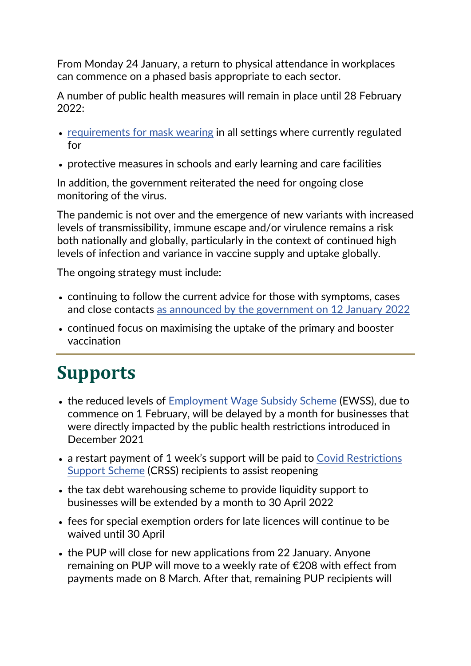From Monday 24 January, a return to physical attendance in workplaces can commence on a phased basis appropriate to each sector.

A number of public health measures will remain in place until 28 February 2022:

- [requirements for mask wearing](https://www.gov.ie/en/press-release/0fc0d-government-announces-that-most-of-the-public-health-measures-currently-in-place-can-be-removed/#notes) in all settings where currently regulated for
- protective measures in schools and early learning and care facilities

In addition, the government reiterated the need for ongoing close monitoring of the virus.

The pandemic is not over and the emergence of new variants with increased levels of transmissibility, immune escape and/or virulence remains a risk both nationally and globally, particularly in the context of continued high levels of infection and variance in vaccine supply and uptake globally.

The ongoing strategy must include:

- continuing to follow the current advice for those with symptoms, cases and close contacts [as announced by the government on 12 January 2022](https://www.gov.ie/en/publication/914a6-guidance-on-the-public-health-management-of-covid-19-cases-and-close-contacts/)
- continued focus on maximising the uptake of the primary and booster vaccination

## **Supports**

- the reduced levels of [Employment Wage Subsidy Scheme](https://www.revenue.ie/en/employing-people/ewss/index.aspx) (EWSS), due to commence on 1 February, will be delayed by a month for businesses that were directly impacted by the public health restrictions introduced in December 2021
- a restart payment of 1 week's support will be paid to Covid Restrictions [Support Scheme](https://www.revenue.ie/en/self-assessment-and-self-employment/crss/index.aspx) (CRSS) recipients to assist reopening
- the tax debt warehousing scheme to provide liquidity support to businesses will be extended by a month to 30 April 2022
- fees for special exemption orders for late licences will continue to be waived until 30 April
- the PUP will close for new applications from 22 January. Anyone remaining on PUP will move to a weekly rate of €208 with effect from payments made on 8 March. After that, remaining PUP recipients will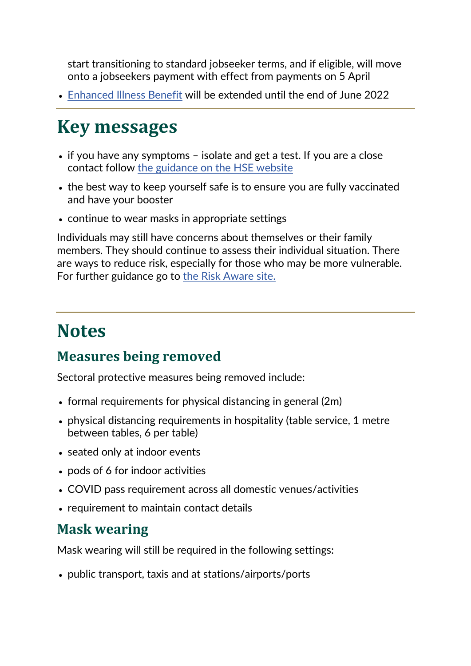start transitioning to standard jobseeker terms, and if eligible, will move onto a jobseekers payment with effect from payments on 5 April

• [Enhanced Illness Benefit](https://www.gov.ie/en/service/df55ae-how-to-apply-for-illness-benefit-for-covid-19-absences/) will be extended until the end of June 2022

### **Key messages**

- if you have any symptoms isolate and get a test. If you are a close contact follow [the guidance on the HSE website](https://www2.hse.ie/conditions/covid19/contact-tracing/close-contact/)
- the best way to keep yourself safe is to ensure you are fully vaccinated and have your booster
- continue to wear masks in appropriate settings

Individuals may still have concerns about themselves or their family members. They should continue to assess their individual situation. There are ways to reduce risk, especially for those who may be more vulnerable. For further guidance go to [the Risk Aware site.](https://www.gov.ie/en/campaigns/c7c67-be-risk-aware/)

#### **Notes**

#### **Measures being removed**

Sectoral protective measures being removed include:

- formal requirements for physical distancing in general (2m)
- physical distancing requirements in hospitality (table service, 1 metre between tables, 6 per table)
- seated only at indoor events
- pods of 6 for indoor activities
- COVID pass requirement across all domestic venues/activities
- requirement to maintain contact details

#### **Mask wearing**

Mask wearing will still be required in the following settings:

• public transport, taxis and at stations/airports/ports